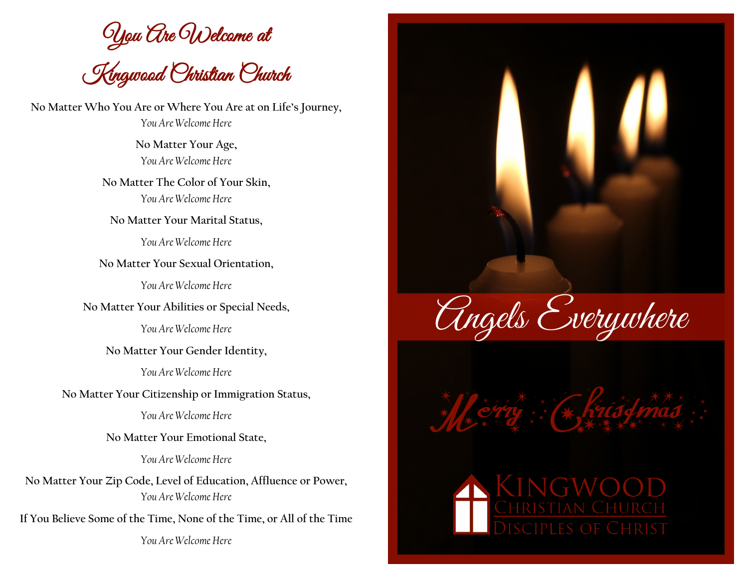You Are Welcome at

Kingwood Christian Church

**No Matter Who You Are or Where You Are at on Life's Journey,** *You Are Welcome Here*

> **No Matter Your Age,** *You Are Welcome Here*

**No Matter The Color of Your Skin,** *You Are Welcome Here*

**No Matter Your Marital Status,**

*You Are Welcome Here*

**No Matter Your Sexual Orientation,**

*You Are Welcome Here*

**No Matter Your Abilities or Special Needs,**

*You Are Welcome Here*

**No Matter Your Gender Identity,**

*You Are Welcome Here*

**No Matter Your Citizenship or Immigration Status,**

*You Are Welcome Here*

**No Matter Your Emotional State,**

*You Are Welcome Here*

**No Matter Your Zip Code, Level of Education, Affluence or Power,**  *You Are Welcome Here*

**If You Believe Some of the Time, None of the Time, or All of the Time**

*You Are Welcome Here*

Angels Everywhere



Merry Christmas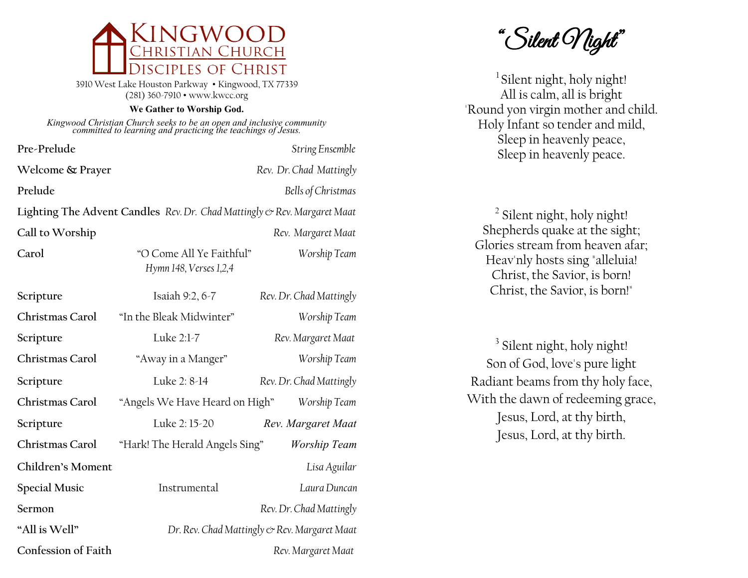

3910 West Lake Houston Parkway • Kingwood, TX 77339 (281) 360-7910 • www.kwcc.org

## **We Gather to Worship God.**

*Kingwood Christian Church seeks to be an open and inclusive community committed to learning and practicing the teachings of Jesus.*

| Pre-Prelude                                                              |                                                    | <b>String Ensemble</b>  |  |
|--------------------------------------------------------------------------|----------------------------------------------------|-------------------------|--|
| Welcome & Prayer                                                         |                                                    | Rev. Dr. Chad Mattingly |  |
| Prelude                                                                  |                                                    | Bells of Christmas      |  |
| Lighting The Advent Candles Rev. Dr. Chad Mattingly & Rev. Margaret Maat |                                                    |                         |  |
| Call to Worship                                                          |                                                    | Rev. Margaret Maat      |  |
| Carol                                                                    | "O Come All Ye Faithful"<br>Hymn 148, Verses 1,2,4 | Worship Team            |  |
| Scripture                                                                | Isaiah 9:2, 6-7                                    | Rev. Dr. Chad Mattingly |  |
| Christmas Carol                                                          | "In the Bleak Midwinter"                           | Worship Team            |  |
| Scripture                                                                | Luke 2:1-7                                         | Rev. Margaret Maat      |  |
| Christmas Carol                                                          | "Away in a Manger"                                 | Worship Team            |  |
| Scripture                                                                | Luke 2: 8-14                                       | Rev. Dr. Chad Mattingly |  |
| Christmas Carol                                                          | "Angels We Have Heard on High"                     | Worship Team            |  |
| Scripture                                                                | Luke 2: 15-20                                      | Rev. Margaret Maat      |  |
| Christmas Carol                                                          | "Hark! The Herald Angels Sing"                     | Worship Team            |  |
| Children's Moment                                                        |                                                    | Lisa Aguilar            |  |
| <b>Special Music</b>                                                     | Instrumental                                       | Laura Duncan            |  |
| Sermon                                                                   |                                                    | Rev. Dr. Chad Mattingly |  |
| "All is Well"                                                            | Dr. Rev. Chad Mattingly & Rev. Margaret Maat       |                         |  |
| Confession of Faith                                                      |                                                    | Rev. Margaret Maat      |  |

"Silent Night"

<sup>1</sup>Silent night, holy night! All is calm, all is bright 'Round yon virgin mother and child. Holy Infant so tender and mild, Sleep in heavenly peace, Sleep in heavenly peace.

<sup>2</sup> Silent night, holy night! Shepherds quake at the sight; Glories stream from heaven afar; Heav'nly hosts sing "alleluia! Christ, the Savior, is born! Christ, the Savior, is born!"

<sup>3</sup> Silent night, holy night! Son of God, love's pure light Radiant beams from thy holy face, With the dawn of redeeming grace, Jesus, Lord, at thy birth, Jesus, Lord, at thy birth.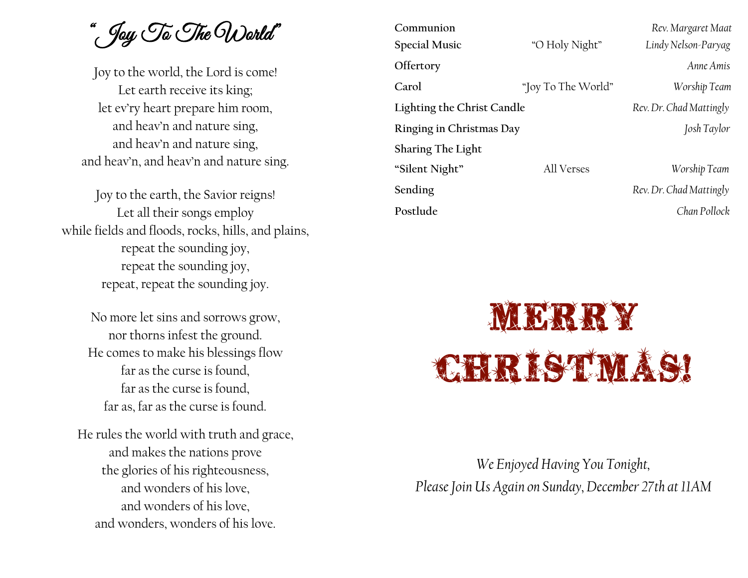"Joy To The World"

Joy to the world, the Lord is come! Let earth receive its king; let ev'ry heart prepare him room, and heav'n and nature sing, and heav'n and nature sing, and heav'n, and heav'n and nature sing.

Joy to the earth, the Savior reigns! Let all their songs employ while fields and floods, rocks, hills, and plains, repeat the sounding joy, repeat the sounding joy, repeat, repeat the sounding joy.

> No more let sins and sorrows grow, nor thorns infest the ground. He comes to make his blessings flow far as the curse is found, far as the curse is found, far as, far as the curse is found.

He rules the world with truth and grace, and makes the nations prove the glories of his righteousness, and wonders of his love, and wonders of his love, and wonders, wonders of his love.

| Communion                  |                    | Rev. Margaret Maat      |
|----------------------------|--------------------|-------------------------|
| <b>Special Music</b>       | "O Holy Night"     | Lindy Nelson-Paryag     |
| Offertory                  |                    | Anne Amis               |
| Carol                      | "Joy To The World" | Worship Team            |
| Lighting the Christ Candle |                    | Rev. Dr. Chad Mattingly |
| Ringing in Christmas Day   |                    | Josh Taylor             |
| Sharing The Light          |                    |                         |
| "Silent Night"             | All Verses         | Worship Team            |
| Sending                    |                    | Rev. Dr. Chad Mattingly |
| Postlude                   |                    | Chan Pollock            |



*We Enjoyed Having You Tonight, Please Join Us Again on Sunday, December 27th at 11AM*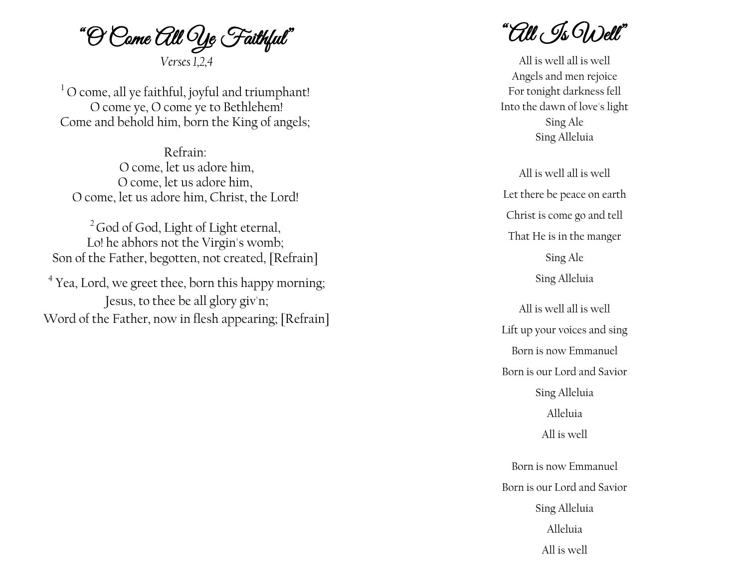

 $1$ O come, all ye faithful, joyful and triumphant! O come ye, O come ye to Bethlehem! Come and behold him, born the King of angels;

Refrain: O come, let us adore him, O come, let us adore him, O come, let us adore him, Christ, the Lord!

<sup>2</sup> God of God, Light of Light eternal, Lo! he abhors not the Virgin's womb; Son of the Father, begotten, not created, [Refrain]

<sup>4</sup> Yea, Lord, we greet thee, born this happy morning; Jesus, to thee be all glory giv'n; Word of the Father, now in flesh appearing; [Refrain]

"All Is Well"

All is well all is well Angels and men rejoice For tonight darkness fell Into the dawn of love's light Sing Ale Sing Alleluia

All is well all is well Let there be peace on earth Christ is come go and tell That He is in the manger Sing Ale Sing Alleluia

All is well all is well Lift up your voices and sing Born is now Emmanuel Born is our Lord and Savior Sing Alleluia Alleluia All is well Born is now Emmanuel Born is our Lord and Savior

Sing Alleluia

Alleluia All is well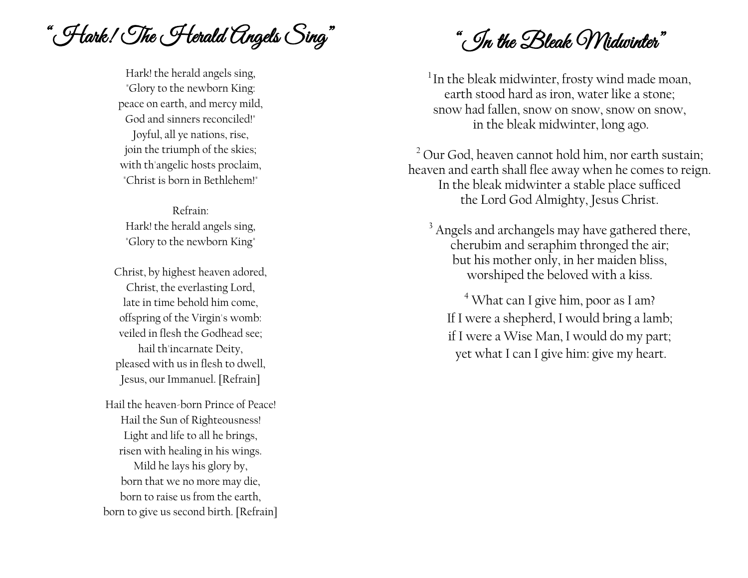"Hark! The Herald Angels Sing"

Hark! the herald angels sing, "Glory to the newborn King: peace on earth, and mercy mild, God and sinners reconciled!" Joyful, all ye nations, rise, join the triumph of the skies; with th'angelic hosts proclaim, "Christ is born in Bethlehem!"

Refrain: Hark! the herald angels sing, "Glory to the newborn King"

Christ, by highest heaven adored, Christ, the everlasting Lord, late in time behold him come, offspring of the Virgin's womb: veiled in flesh the Godhead see; hail th'incarnate Deity, pleased with us in flesh to dwell, Jesus, our Immanuel. [Refrain]

Hail the heaven-born Prince of Peace! Hail the Sun of Righteousness! Light and life to all he brings, risen with healing in his wings. Mild he lays his glory by, born that we no more may die, born to raise us from the earth, born to give us second birth. [Refrain]

"In the Bleak Midwinter"

 $1$ In the bleak midwinter, frosty wind made moan, earth stood hard as iron, water like a stone; snow had fallen, snow on snow, snow on snow, in the bleak midwinter, long ago.

<sup>2</sup> Our God, heaven cannot hold him, nor earth sustain; heaven and earth shall flee away when he comes to reign. In the bleak midwinter a stable place sufficed the Lord God Almighty, Jesus Christ.

 $3$  Angels and archangels may have gathered there, cherubim and seraphim thronged the air; but his mother only, in her maiden bliss, worshiped the beloved with a kiss.

 $4$  What can I give him, poor as I am? If I were a shepherd, I would bring a lamb; if I were a Wise Man, I would do my part; yet what I can I give him: give my heart.